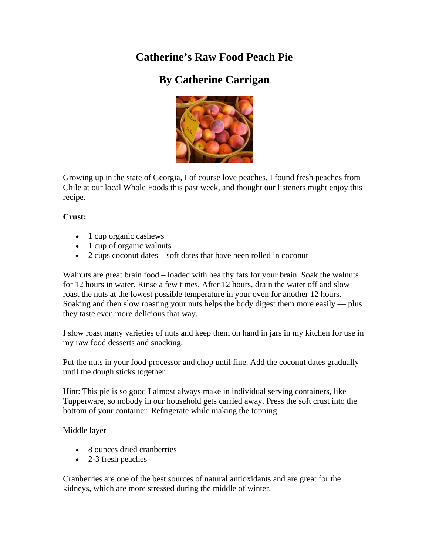## **Catherine's Raw Food Peach Pie**

## **By Catherine Carrigan**



Growing up in the state of Georgia, I of course love peaches. I found fresh peaches from Chile at our local Whole Foods this past week, and thought our listeners might enjoy this recipe.

## **Crust:**

- 1 cup organic cashews
- 1 cup of organic walnuts
- 2 cups coconut dates soft dates that have been rolled in coconut

Walnuts are great brain food – loaded with healthy fats for your brain. Soak the walnuts for 12 hours in water. Rinse a few times. After 12 hours, drain the water off and slow roast the nuts at the lowest possible temperature in your oven for another 12 hours. Soaking and then slow roasting your nuts helps the body digest them more easily — plus they taste even more delicious that way.

I slow roast many varieties of nuts and keep them on hand in jars in my kitchen for use in my raw food desserts and snacking.

Put the nuts in your food processor and chop until fine. Add the coconut dates gradually until the dough sticks together.

Hint: This pie is so good I almost always make in individual serving containers, like Tupperware, so nobody in our household gets carried away. Press the soft crust into the bottom of your container. Refrigerate while making the topping.

Middle layer

- 8 ounces dried cranberries
- 2-3 fresh peaches

Cranberries are one of the best sources of natural antioxidants and are great for the kidneys, which are more stressed during the middle of winter.